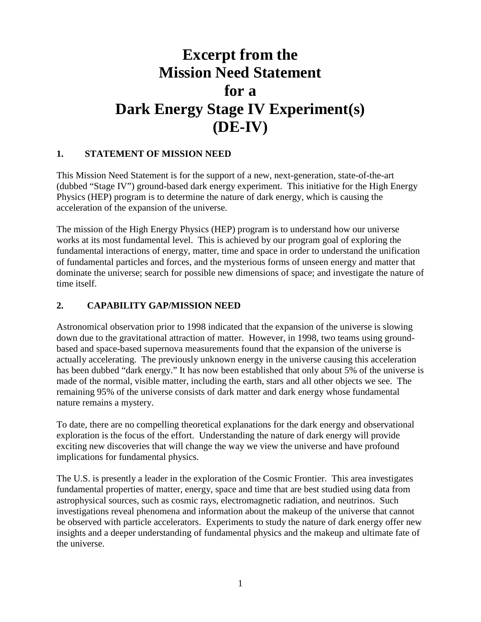# **Excerpt from the Mission Need Statement for a Dark Energy Stage IV Experiment(s) (DE-IV)**

# **1. STATEMENT OF MISSION NEED**

This Mission Need Statement is for the support of a new, next-generation, state-of-the-art (dubbed "Stage IV") ground-based dark energy experiment. This initiative for the High Energy Physics (HEP) program is to determine the nature of dark energy, which is causing the acceleration of the expansion of the universe.

The mission of the High Energy Physics (HEP) program is to understand how our universe works at its most fundamental level. This is achieved by our program goal of exploring the fundamental interactions of energy, matter, time and space in order to understand the unification of fundamental particles and forces, and the mysterious forms of unseen energy and matter that dominate the universe; search for possible new dimensions of space; and investigate the nature of time itself.

## **2. CAPABILITY GAP/MISSION NEED**

Astronomical observation prior to 1998 indicated that the expansion of the universe is slowing down due to the gravitational attraction of matter. However, in 1998, two teams using groundbased and space-based supernova measurements found that the expansion of the universe is actually accelerating. The previously unknown energy in the universe causing this acceleration has been dubbed "dark energy." It has now been established that only about 5% of the universe is made of the normal, visible matter, including the earth, stars and all other objects we see. The remaining 95% of the universe consists of dark matter and dark energy whose fundamental nature remains a mystery.

To date, there are no compelling theoretical explanations for the dark energy and observational exploration is the focus of the effort. Understanding the nature of dark energy will provide exciting new discoveries that will change the way we view the universe and have profound implications for fundamental physics.

The U.S. is presently a leader in the exploration of the Cosmic Frontier. This area investigates fundamental properties of matter, energy, space and time that are best studied using data from astrophysical sources, such as cosmic rays, electromagnetic radiation, and neutrinos. Such investigations reveal phenomena and information about the makeup of the universe that cannot be observed with particle accelerators. Experiments to study the nature of dark energy offer new insights and a deeper understanding of fundamental physics and the makeup and ultimate fate of the universe.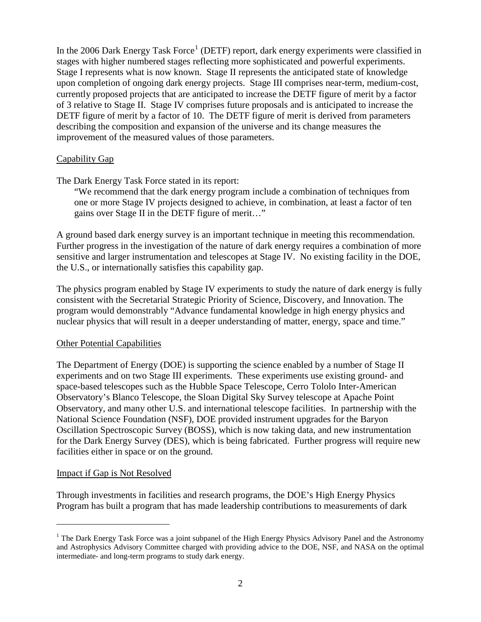In the 2006 Dark Energy Task Force<sup>[1](#page-1-0)</sup> (DETF) report, dark energy experiments were classified in stages with higher numbered stages reflecting more sophisticated and powerful experiments. Stage I represents what is now known. Stage II represents the anticipated state of knowledge upon completion of ongoing dark energy projects. Stage III comprises near-term, medium-cost, currently proposed projects that are anticipated to increase the DETF figure of merit by a factor of 3 relative to Stage II. Stage IV comprises future proposals and is anticipated to increase the DETF figure of merit by a factor of 10. The DETF figure of merit is derived from parameters describing the composition and expansion of the universe and its change measures the improvement of the measured values of those parameters.

#### Capability Gap

The Dark Energy Task Force stated in its report:

"We recommend that the dark energy program include a combination of techniques from one or more Stage IV projects designed to achieve, in combination, at least a factor of ten gains over Stage II in the DETF figure of merit…"

A ground based dark energy survey is an important technique in meeting this recommendation. Further progress in the investigation of the nature of dark energy requires a combination of more sensitive and larger instrumentation and telescopes at Stage IV. No existing facility in the DOE, the U.S., or internationally satisfies this capability gap.

The physics program enabled by Stage IV experiments to study the nature of dark energy is fully consistent with the Secretarial Strategic Priority of Science, Discovery, and Innovation. The program would demonstrably "Advance fundamental knowledge in high energy physics and nuclear physics that will result in a deeper understanding of matter, energy, space and time."

#### Other Potential Capabilities

The Department of Energy (DOE) is supporting the science enabled by a number of Stage II experiments and on two Stage III experiments. These experiments use existing ground- and space-based telescopes such as the Hubble Space Telescope, Cerro Tololo Inter-American Observatory's Blanco Telescope, the Sloan Digital Sky Survey telescope at Apache Point Observatory, and many other U.S. and international telescope facilities. In partnership with the National Science Foundation (NSF), DOE provided instrument upgrades for the Baryon Oscillation Spectroscopic Survey (BOSS), which is now taking data, and new instrumentation for the Dark Energy Survey (DES), which is being fabricated. Further progress will require new facilities either in space or on the ground.

#### Impact if Gap is Not Resolved

 $\overline{a}$ 

Through investments in facilities and research programs, the DOE's High Energy Physics Program has built a program that has made leadership contributions to measurements of dark

<span id="page-1-0"></span><sup>&</sup>lt;sup>1</sup> The Dark Energy Task Force was a joint subpanel of the High Energy Physics Advisory Panel and the Astronomy and Astrophysics Advisory Committee charged with providing advice to the DOE, NSF, and NASA on the optimal intermediate- and long-term programs to study dark energy.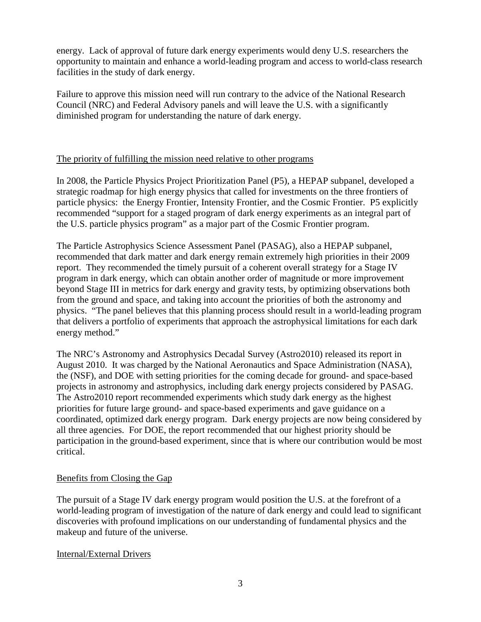energy. Lack of approval of future dark energy experiments would deny U.S. researchers the opportunity to maintain and enhance a world-leading program and access to world-class research facilities in the study of dark energy.

Failure to approve this mission need will run contrary to the advice of the National Research Council (NRC) and Federal Advisory panels and will leave the U.S. with a significantly diminished program for understanding the nature of dark energy.

## The priority of fulfilling the mission need relative to other programs

In 2008, the Particle Physics Project Prioritization Panel (P5), a HEPAP subpanel, developed a strategic roadmap for high energy physics that called for investments on the three frontiers of particle physics: the Energy Frontier, Intensity Frontier, and the Cosmic Frontier. P5 explicitly recommended "support for a staged program of dark energy experiments as an integral part of the U.S. particle physics program" as a major part of the Cosmic Frontier program.

The Particle Astrophysics Science Assessment Panel (PASAG), also a HEPAP subpanel, recommended that dark matter and dark energy remain extremely high priorities in their 2009 report. They recommended the timely pursuit of a coherent overall strategy for a Stage IV program in dark energy, which can obtain another order of magnitude or more improvement beyond Stage III in metrics for dark energy and gravity tests, by optimizing observations both from the ground and space, and taking into account the priorities of both the astronomy and physics. "The panel believes that this planning process should result in a world-leading program that delivers a portfolio of experiments that approach the astrophysical limitations for each dark energy method."

The NRC's Astronomy and Astrophysics Decadal Survey (Astro2010) released its report in August 2010. It was charged by the National Aeronautics and Space Administration (NASA), the (NSF), and DOE with setting priorities for the coming decade for ground- and space-based projects in astronomy and astrophysics, including dark energy projects considered by PASAG. The Astro2010 report recommended experiments which study dark energy as the highest priorities for future large ground- and space-based experiments and gave guidance on a coordinated, optimized dark energy program. Dark energy projects are now being considered by all three agencies. For DOE, the report recommended that our highest priority should be participation in the ground-based experiment, since that is where our contribution would be most critical.

## Benefits from Closing the Gap

The pursuit of a Stage IV dark energy program would position the U.S. at the forefront of a world-leading program of investigation of the nature of dark energy and could lead to significant discoveries with profound implications on our understanding of fundamental physics and the makeup and future of the universe.

#### Internal/External Drivers